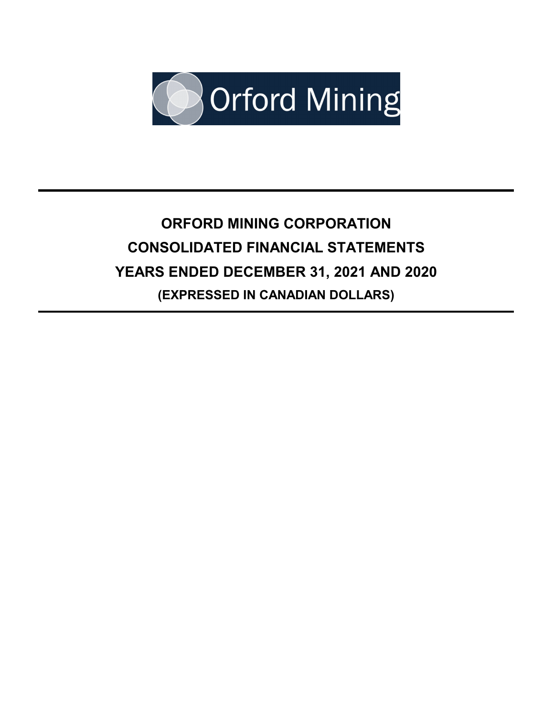

# **ORFORD MINING CORPORATION CONSOLIDATED FINANCIAL STATEMENTS YEARS ENDED DECEMBER 31, 2021 AND 2020 (EXPRESSED IN CANADIAN DOLLARS)**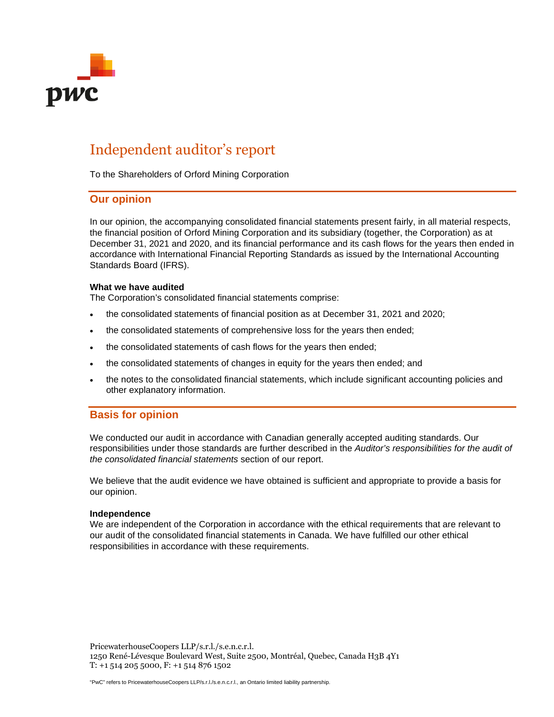

# Independent auditor's report

To the Shareholders of Orford Mining Corporation

# **Our opinion**

In our opinion, the accompanying consolidated financial statements present fairly, in all material respects, the financial position of Orford Mining Corporation and its subsidiary (together, the Corporation) as at December 31, 2021 and 2020, and its financial performance and its cash flows for the years then ended in accordance with International Financial Reporting Standards as issued by the International Accounting Standards Board (IFRS).

#### **What we have audited**

The Corporation's consolidated financial statements comprise:

- the consolidated statements of financial position as at December 31, 2021 and 2020;
- the consolidated statements of comprehensive loss for the years then ended;
- the consolidated statements of cash flows for the years then ended;
- the consolidated statements of changes in equity for the years then ended; and
- the notes to the consolidated financial statements, which include significant accounting policies and other explanatory information.

# **Basis for opinion**

We conducted our audit in accordance with Canadian generally accepted auditing standards. Our responsibilities under those standards are further described in the *Auditor's responsibilities for the audit of the consolidated financial statements* section of our report.

We believe that the audit evidence we have obtained is sufficient and appropriate to provide a basis for our opinion.

#### **Independence**

We are independent of the Corporation in accordance with the ethical requirements that are relevant to our audit of the consolidated financial statements in Canada. We have fulfilled our other ethical responsibilities in accordance with these requirements.

PricewaterhouseCoopers LLP/s.r.l./s.e.n.c.r.l. 1250 René-Lévesque Boulevard West, Suite 2500, Montréal, Quebec, Canada H3B 4Y1 T: +1 514 205 5000, F: +1 514 876 1502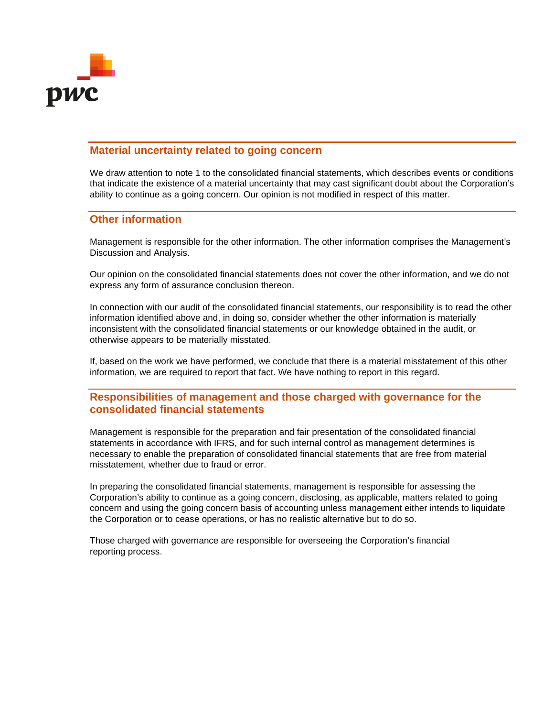

# **Material uncertainty related to going concern**

We draw attention to note 1 to the consolidated financial statements, which describes events or conditions that indicate the existence of a material uncertainty that may cast significant doubt about the Corporation's ability to continue as a going concern. Our opinion is not modified in respect of this matter.

# **Other information**

Management is responsible for the other information. The other information comprises the Management's Discussion and Analysis.

Our opinion on the consolidated financial statements does not cover the other information, and we do not express any form of assurance conclusion thereon.

In connection with our audit of the consolidated financial statements, our responsibility is to read the other information identified above and, in doing so, consider whether the other information is materially inconsistent with the consolidated financial statements or our knowledge obtained in the audit, or otherwise appears to be materially misstated.

If, based on the work we have performed, we conclude that there is a material misstatement of this other information, we are required to report that fact. We have nothing to report in this regard.

# **Responsibilities of management and those charged with governance for the consolidated financial statements**

Management is responsible for the preparation and fair presentation of the consolidated financial statements in accordance with IFRS, and for such internal control as management determines is necessary to enable the preparation of consolidated financial statements that are free from material misstatement, whether due to fraud or error.

In preparing the consolidated financial statements, management is responsible for assessing the Corporation's ability to continue as a going concern, disclosing, as applicable, matters related to going concern and using the going concern basis of accounting unless management either intends to liquidate the Corporation or to cease operations, or has no realistic alternative but to do so.

Those charged with governance are responsible for overseeing the Corporation's financial reporting process.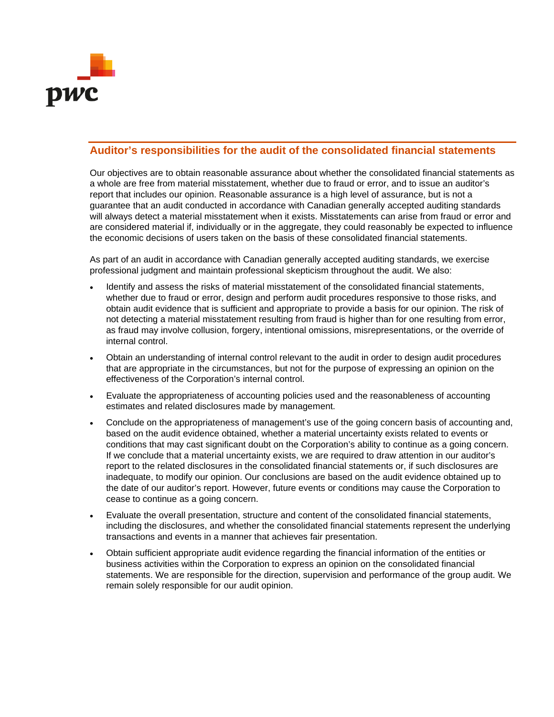

# **Auditor's responsibilities for the audit of the consolidated financial statements**

Our objectives are to obtain reasonable assurance about whether the consolidated financial statements as a whole are free from material misstatement, whether due to fraud or error, and to issue an auditor's report that includes our opinion. Reasonable assurance is a high level of assurance, but is not a guarantee that an audit conducted in accordance with Canadian generally accepted auditing standards will always detect a material misstatement when it exists. Misstatements can arise from fraud or error and are considered material if, individually or in the aggregate, they could reasonably be expected to influence the economic decisions of users taken on the basis of these consolidated financial statements.

As part of an audit in accordance with Canadian generally accepted auditing standards, we exercise professional judgment and maintain professional skepticism throughout the audit. We also:

- Identify and assess the risks of material misstatement of the consolidated financial statements, whether due to fraud or error, design and perform audit procedures responsive to those risks, and obtain audit evidence that is sufficient and appropriate to provide a basis for our opinion. The risk of not detecting a material misstatement resulting from fraud is higher than for one resulting from error, as fraud may involve collusion, forgery, intentional omissions, misrepresentations, or the override of internal control.
- Obtain an understanding of internal control relevant to the audit in order to design audit procedures that are appropriate in the circumstances, but not for the purpose of expressing an opinion on the effectiveness of the Corporation's internal control.
- Evaluate the appropriateness of accounting policies used and the reasonableness of accounting estimates and related disclosures made by management.
- Conclude on the appropriateness of management's use of the going concern basis of accounting and, based on the audit evidence obtained, whether a material uncertainty exists related to events or conditions that may cast significant doubt on the Corporation's ability to continue as a going concern. If we conclude that a material uncertainty exists, we are required to draw attention in our auditor's report to the related disclosures in the consolidated financial statements or, if such disclosures are inadequate, to modify our opinion. Our conclusions are based on the audit evidence obtained up to the date of our auditor's report. However, future events or conditions may cause the Corporation to cease to continue as a going concern.
- Evaluate the overall presentation, structure and content of the consolidated financial statements, including the disclosures, and whether the consolidated financial statements represent the underlying transactions and events in a manner that achieves fair presentation.
- Obtain sufficient appropriate audit evidence regarding the financial information of the entities or business activities within the Corporation to express an opinion on the consolidated financial statements. We are responsible for the direction, supervision and performance of the group audit. We remain solely responsible for our audit opinion.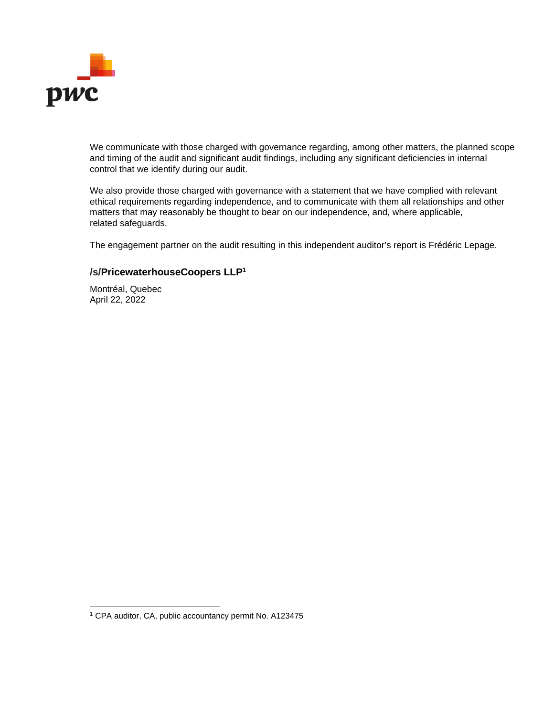

We communicate with those charged with governance regarding, among other matters, the planned scope and timing of the audit and significant audit findings, including any significant deficiencies in internal control that we identify during our audit.

We also provide those charged with governance with a statement that we have complied with relevant ethical requirements regarding independence, and to communicate with them all relationships and other matters that may reasonably be thought to bear on our independence, and, where applicable, related safeguards.

The engagement partner on the audit resulting in this independent auditor's report is Frédéric Lepage.

# **/s/PricewaterhouseCoopers LLP<sup>1</sup>**

Montréal, Quebec April 22, 2022

<sup>&</sup>lt;sup>1</sup> CPA auditor, CA, public accountancy permit No. A123475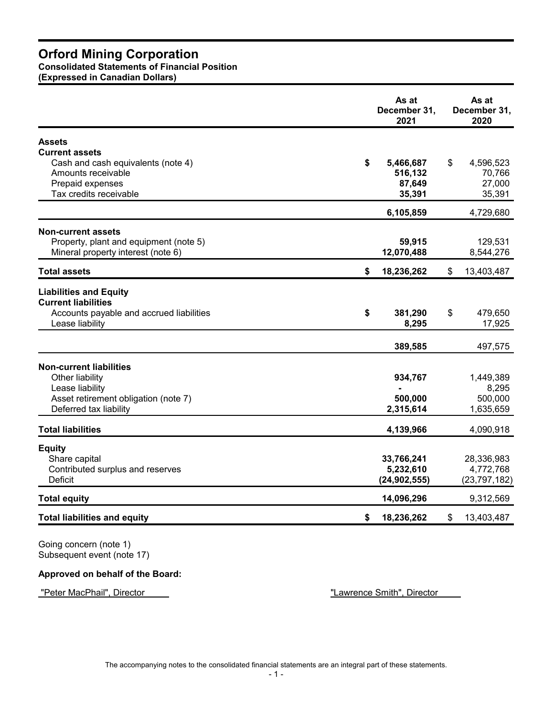# **Consolidated Statements of Financial Position**

**(Expressed in Canadian Dollars)**

|                                                                                                                                  | As at<br>December 31,<br>2021 | As at<br>December 31,<br>2020 |
|----------------------------------------------------------------------------------------------------------------------------------|-------------------------------|-------------------------------|
| <b>Assets</b>                                                                                                                    |                               |                               |
| <b>Current assets</b>                                                                                                            |                               |                               |
| \$<br>Cash and cash equivalents (note 4)                                                                                         | 5,466,687                     | \$<br>4,596,523               |
| Amounts receivable                                                                                                               | 516,132                       | 70,766                        |
| Prepaid expenses                                                                                                                 | 87,649                        | 27,000                        |
| Tax credits receivable                                                                                                           | 35,391                        | 35,391                        |
|                                                                                                                                  | 6,105,859                     | 4,729,680                     |
| <b>Non-current assets</b>                                                                                                        |                               |                               |
| Property, plant and equipment (note 5)                                                                                           | 59,915                        | 129,531                       |
| Mineral property interest (note 6)                                                                                               | 12,070,488                    | 8,544,276                     |
| <b>Total assets</b><br>\$                                                                                                        | 18,236,262                    | \$<br>13,403,487              |
| <b>Liabilities and Equity</b><br><b>Current liabilities</b><br>Accounts payable and accrued liabilities<br>\$<br>Lease liability | 381,290<br>8,295              | \$<br>479,650<br>17,925       |
|                                                                                                                                  | 389,585                       | 497,575                       |
| <b>Non-current liabilities</b>                                                                                                   |                               |                               |
| Other liability                                                                                                                  | 934,767                       | 1,449,389                     |
| Lease liability                                                                                                                  |                               | 8,295                         |
| Asset retirement obligation (note 7)                                                                                             | 500,000                       | 500,000                       |
| Deferred tax liability                                                                                                           | 2,315,614                     | 1,635,659                     |
| <b>Total liabilities</b>                                                                                                         | 4,139,966                     | 4,090,918                     |
| <b>Equity</b>                                                                                                                    |                               |                               |
| Share capital                                                                                                                    | 33,766,241                    | 28,336,983                    |
| Contributed surplus and reserves                                                                                                 | 5,232,610                     | 4,772,768                     |
| Deficit                                                                                                                          | (24, 902, 555)                | (23, 797, 182)                |
| <b>Total equity</b>                                                                                                              | 14,096,296                    | 9,312,569                     |
| <b>Total liabilities and equity</b><br>\$                                                                                        | 18,236,262                    | \$<br>13,403,487              |

Going concern (note 1) Subsequent event (note 17)

# **Approved on behalf of the Board:**

"Peter MacPhail", Director "Lawrence Smith", Director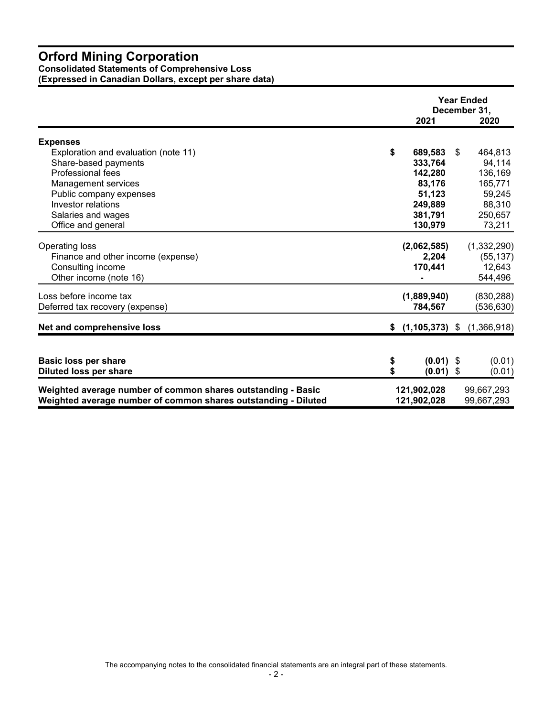#### **Consolidated Statements of Comprehensive Loss**

**(Expressed in Canadian Dollars, except per share data)** 

|                                                                | <b>Year Ended</b><br>December 31, |    |             |
|----------------------------------------------------------------|-----------------------------------|----|-------------|
|                                                                | 2021                              |    | 2020        |
| <b>Expenses</b>                                                |                                   |    |             |
| Exploration and evaluation (note 11)                           | \$<br>689,583                     | S. | 464,813     |
| Share-based payments                                           | 333,764                           |    | 94,114      |
| Professional fees                                              | 142,280                           |    | 136,169     |
| Management services                                            | 83,176                            |    | 165,771     |
| Public company expenses                                        | 51,123                            |    | 59,245      |
| Investor relations                                             | 249,889                           |    | 88,310      |
| Salaries and wages                                             | 381,791                           |    | 250,657     |
| Office and general                                             | 130,979                           |    | 73,211      |
| <b>Operating loss</b>                                          | (2,062,585)                       |    | (1,332,290) |
| Finance and other income (expense)                             | 2,204                             |    | (55, 137)   |
| Consulting income                                              | 170,441                           |    | 12,643      |
| Other income (note 16)                                         |                                   |    | 544,496     |
| Loss before income tax                                         | (1,889,940)                       |    | (830, 288)  |
| Deferred tax recovery (expense)                                | 784,567                           |    | (536, 630)  |
| Net and comprehensive loss                                     | $$(1,105,373)$ \$                 |    | (1,366,918) |
|                                                                |                                   |    |             |
| <b>Basic loss per share</b>                                    | \$<br>$(0.01)$ \$                 |    | (0.01)      |
| <b>Diluted loss per share</b>                                  | \$<br>$(0.01)$ \$                 |    | (0.01)      |
| Weighted average number of common shares outstanding - Basic   | 121,902,028                       |    | 99,667,293  |
| Weighted average number of common shares outstanding - Diluted | 121,902,028                       |    | 99,667,293  |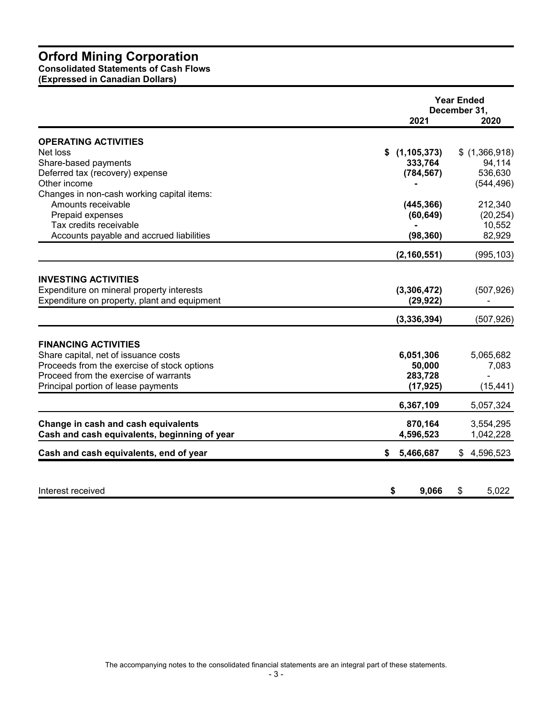**Consolidated Statements of Cash Flows**

**(Expressed in Canadian Dollars)**

|                                              |                     | <b>Year Ended</b><br>December 31, |
|----------------------------------------------|---------------------|-----------------------------------|
|                                              | 2021                | 2020                              |
| <b>OPERATING ACTIVITIES</b><br>Net loss      | S.<br>(1, 105, 373) | \$(1,366,918)                     |
| Share-based payments                         | 333,764             | 94,114                            |
| Deferred tax (recovery) expense              | (784, 567)          | 536,630                           |
| Other income                                 |                     | (544, 496)                        |
| Changes in non-cash working capital items:   |                     |                                   |
| Amounts receivable                           | (445, 366)          | 212,340                           |
| Prepaid expenses                             | (60, 649)           | (20, 254)                         |
| Tax credits receivable                       |                     | 10,552                            |
| Accounts payable and accrued liabilities     | (98, 360)           | 82,929                            |
|                                              | (2, 160, 551)       | (995, 103)                        |
|                                              |                     |                                   |
| <b>INVESTING ACTIVITIES</b>                  |                     |                                   |
| Expenditure on mineral property interests    | (3,306,472)         | (507, 926)                        |
| Expenditure on property, plant and equipment | (29, 922)           |                                   |
|                                              | (3,336,394)         | (507, 926)                        |
|                                              |                     |                                   |
| <b>FINANCING ACTIVITIES</b>                  |                     |                                   |
| Share capital, net of issuance costs         | 6,051,306           | 5,065,682                         |
| Proceeds from the exercise of stock options  | 50,000              | 7,083                             |
| Proceed from the exercise of warrants        | 283,728             |                                   |
| Principal portion of lease payments          | (17, 925)           | (15, 441)                         |
|                                              | 6,367,109           | 5,057,324                         |
| Change in cash and cash equivalents          | 870,164             | 3,554,295                         |
| Cash and cash equivalents, beginning of year | 4,596,523           | 1,042,228                         |
| Cash and cash equivalents, end of year       | 5,466,687<br>\$     | \$4,596,523                       |
|                                              |                     |                                   |
| Interest received                            | \$<br>9,066         | 5,022<br>\$                       |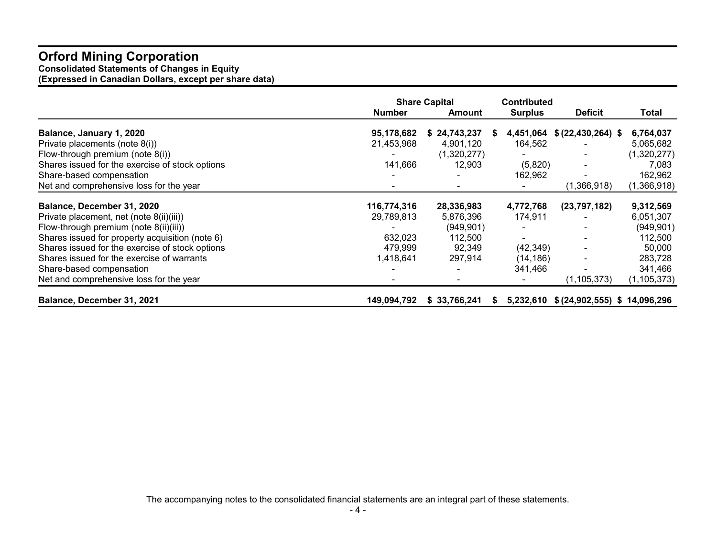**Consolidated Statements of Changes in Equity (Expressed in Canadian Dollars, except per share data)** 

|                                                 | <b>Share Capital</b> |              | <b>Contributed</b> |                               |               |  |
|-------------------------------------------------|----------------------|--------------|--------------------|-------------------------------|---------------|--|
|                                                 | <b>Number</b>        | Amount       | <b>Surplus</b>     | <b>Deficit</b>                | Total         |  |
| Balance, January 1, 2020                        | 95,178,682           | \$24,743,237 | 4,451,064<br>S.    | $$ (22, 430, 264)$ \$         | 6,764,037     |  |
| Private placements (note 8(i))                  | 21,453,968           | 4,901,120    | 164,562            |                               | 5,065,682     |  |
| Flow-through premium (note 8(i))                |                      | (1,320,277)  |                    |                               | (1,320,277)   |  |
| Shares issued for the exercise of stock options | 141,666              | 12,903       | (5,820)            |                               | 7,083         |  |
| Share-based compensation                        |                      |              | 162,962            |                               | 162,962       |  |
| Net and comprehensive loss for the year         |                      |              |                    | (1,366,918)                   | (1,366,918)   |  |
| Balance, December 31, 2020                      | 116,774,316          | 28,336,983   | 4,772,768          | (23,797,182)                  | 9,312,569     |  |
| Private placement, net (note 8(ii)(iii))        | 29,789,813           | 5,876,396    | 174,911            |                               | 6,051,307     |  |
| Flow-through premium (note 8(ii)(iii))          |                      | (949, 901)   |                    |                               | (949, 901)    |  |
| Shares issued for property acquisition (note 6) | 632,023              | 112,500      |                    |                               | 112,500       |  |
| Shares issued for the exercise of stock options | 479,999              | 92,349       | (42, 349)          |                               | 50,000        |  |
| Shares issued for the exercise of warrants      | 1,418,641            | 297,914      | (14,186)           |                               | 283,728       |  |
| Share-based compensation                        |                      |              | 341,466            |                               | 341,466       |  |
| Net and comprehensive loss for the year         |                      |              |                    | (1,105,373)                   | (1, 105, 373) |  |
| Balance, December 31, 2021                      | 149,094,792          | \$33,766,241 | 5,232,610<br>S.    | \$ (24,902,555) \$ 14,096,296 |               |  |

The accompanying notes to the consolidated financial statements are an integral part of these statements.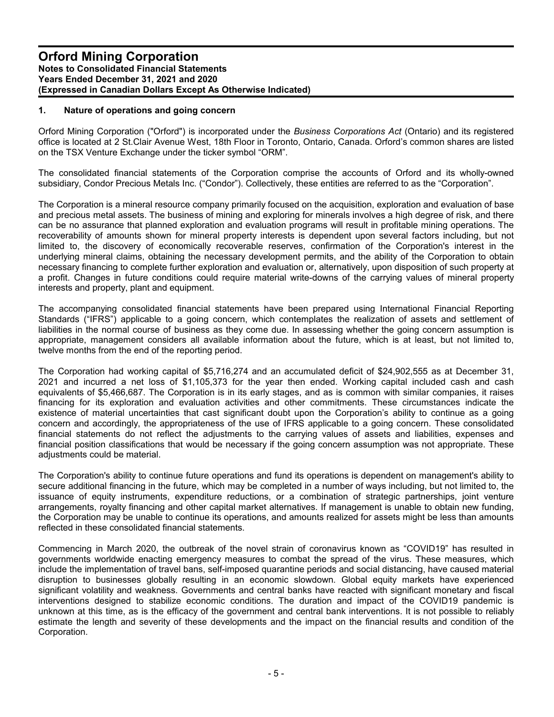# **1. Nature of operations and going concern**

Orford Mining Corporation ("Orford") is incorporated under the *Business Corporations Act* (Ontario) and its registered office is located at 2 St.Clair Avenue West, 18th Floor in Toronto, Ontario, Canada. Orford's common shares are listed on the TSX Venture Exchange under the ticker symbol "ORM".

The consolidated financial statements of the Corporation comprise the accounts of Orford and its wholly-owned subsidiary, Condor Precious Metals Inc. ("Condor"). Collectively, these entities are referred to as the "Corporation".

The Corporation is a mineral resource company primarily focused on the acquisition, exploration and evaluation of base and precious metal assets. The business of mining and exploring for minerals involves a high degree of risk, and there can be no assurance that planned exploration and evaluation programs will result in profitable mining operations. The recoverability of amounts shown for mineral property interests is dependent upon several factors including, but not limited to, the discovery of economically recoverable reserves, confirmation of the Corporation's interest in the underlying mineral claims, obtaining the necessary development permits, and the ability of the Corporation to obtain necessary financing to complete further exploration and evaluation or, alternatively, upon disposition of such property at a profit. Changes in future conditions could require material write-downs of the carrying values of mineral property interests and property, plant and equipment.

The accompanying consolidated financial statements have been prepared using International Financial Reporting Standards ("IFRS") applicable to a going concern, which contemplates the realization of assets and settlement of liabilities in the normal course of business as they come due. In assessing whether the going concern assumption is appropriate, management considers all available information about the future, which is at least, but not limited to, twelve months from the end of the reporting period.

The Corporation had working capital of \$5,716,274 and an accumulated deficit of \$24,902,555 as at December 31, 2021 and incurred a net loss of \$1,105,373 for the year then ended. Working capital included cash and cash equivalents of \$5,466,687. The Corporation is in its early stages, and as is common with similar companies, it raises financing for its exploration and evaluation activities and other commitments. These circumstances indicate the existence of material uncertainties that cast significant doubt upon the Corporation's ability to continue as a going concern and accordingly, the appropriateness of the use of IFRS applicable to a going concern. These consolidated financial statements do not reflect the adjustments to the carrying values of assets and liabilities, expenses and financial position classifications that would be necessary if the going concern assumption was not appropriate. These adjustments could be material.

The Corporation's ability to continue future operations and fund its operations is dependent on management's ability to secure additional financing in the future, which may be completed in a number of ways including, but not limited to, the issuance of equity instruments, expenditure reductions, or a combination of strategic partnerships, joint venture arrangements, royalty financing and other capital market alternatives. If management is unable to obtain new funding, the Corporation may be unable to continue its operations, and amounts realized for assets might be less than amounts reflected in these consolidated financial statements.

Commencing in March 2020, the outbreak of the novel strain of coronavirus known as "COVID19" has resulted in governments worldwide enacting emergency measures to combat the spread of the virus. These measures, which include the implementation of travel bans, self-imposed quarantine periods and social distancing, have caused material disruption to businesses globally resulting in an economic slowdown. Global equity markets have experienced significant volatility and weakness. Governments and central banks have reacted with significant monetary and fiscal interventions designed to stabilize economic conditions. The duration and impact of the COVID19 pandemic is unknown at this time, as is the efficacy of the government and central bank interventions. It is not possible to reliably estimate the length and severity of these developments and the impact on the financial results and condition of the Corporation.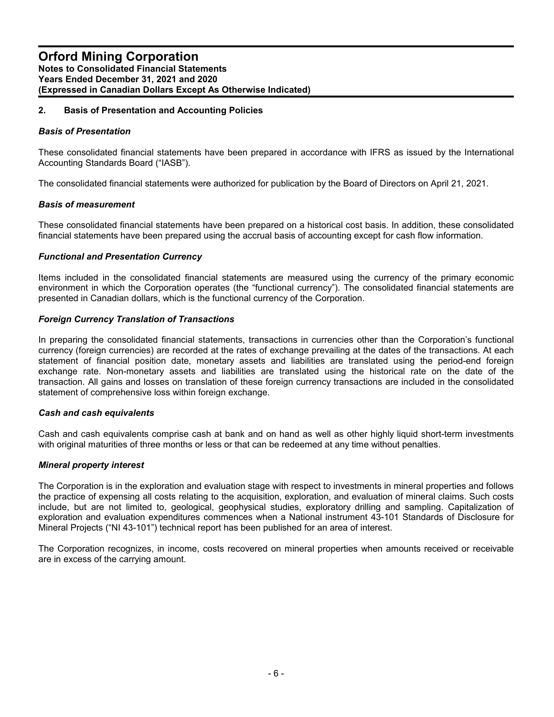# **2. Basis of Presentation and Accounting Policies**

#### *Basis of Presentation*

These consolidated financial statements have been prepared in accordance with IFRS as issued by the International Accounting Standards Board ("IASB").

The consolidated financial statements were authorized for publication by the Board of Directors on April 21, 2021.

#### *Basis of measurement*

These consolidated financial statements have been prepared on a historical cost basis. In addition, these consolidated financial statements have been prepared using the accrual basis of accounting except for cash flow information.

#### *Functional and Presentation Currency*

Items included in the consolidated financial statements are measured using the currency of the primary economic environment in which the Corporation operates (the "functional currency"). The consolidated financial statements are presented in Canadian dollars, which is the functional currency of the Corporation.

#### *Foreign Currency Translation of Transactions*

In preparing the consolidated financial statements, transactions in currencies other than the Corporation's functional currency (foreign currencies) are recorded at the rates of exchange prevailing at the dates of the transactions. At each statement of financial position date, monetary assets and liabilities are translated using the period-end foreign exchange rate. Non-monetary assets and liabilities are translated using the historical rate on the date of the transaction. All gains and losses on translation of these foreign currency transactions are included in the consolidated statement of comprehensive loss within foreign exchange.

#### *Cash and cash equivalents*

Cash and cash equivalents comprise cash at bank and on hand as well as other highly liquid short-term investments with original maturities of three months or less or that can be redeemed at any time without penalties.

#### *Mineral property interest*

The Corporation is in the exploration and evaluation stage with respect to investments in mineral properties and follows the practice of expensing all costs relating to the acquisition, exploration, and evaluation of mineral claims. Such costs include, but are not limited to, geological, geophysical studies, exploratory drilling and sampling. Capitalization of exploration and evaluation expenditures commences when a National instrument 43-101 Standards of Disclosure for Mineral Projects ("NI 43-101") technical report has been published for an area of interest.

The Corporation recognizes, in income, costs recovered on mineral properties when amounts received or receivable are in excess of the carrying amount.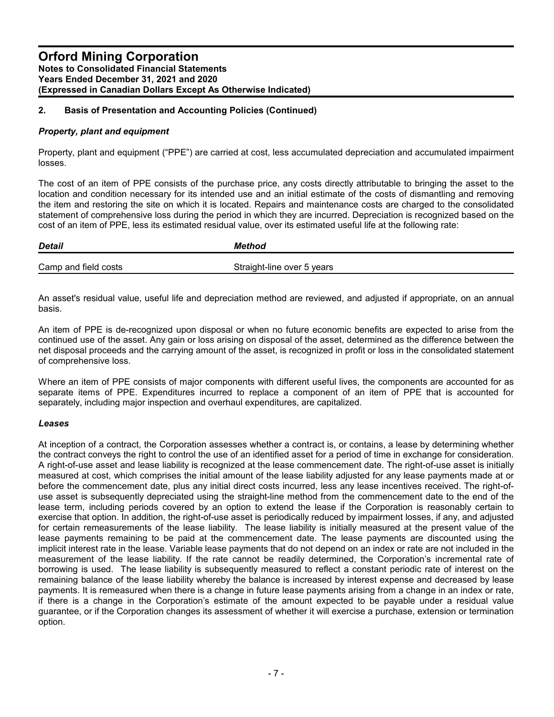#### *Property, plant and equipment*

Property, plant and equipment ("PPE") are carried at cost, less accumulated depreciation and accumulated impairment losses.

The cost of an item of PPE consists of the purchase price, any costs directly attributable to bringing the asset to the location and condition necessary for its intended use and an initial estimate of the costs of dismantling and removing the item and restoring the site on which it is located. Repairs and maintenance costs are charged to the consolidated statement of comprehensive loss during the period in which they are incurred. Depreciation is recognized based on the cost of an item of PPE, less its estimated residual value, over its estimated useful life at the following rate:

| <b>Detail</b>        | Method                     |
|----------------------|----------------------------|
| Camp and field costs | Straight-line over 5 years |

An asset's residual value, useful life and depreciation method are reviewed, and adjusted if appropriate, on an annual basis.

An item of PPE is de-recognized upon disposal or when no future economic benefits are expected to arise from the continued use of the asset. Any gain or loss arising on disposal of the asset, determined as the difference between the net disposal proceeds and the carrying amount of the asset, is recognized in profit or loss in the consolidated statement of comprehensive loss.

Where an item of PPE consists of major components with different useful lives, the components are accounted for as separate items of PPE. Expenditures incurred to replace a component of an item of PPE that is accounted for separately, including major inspection and overhaul expenditures, are capitalized.

#### *Leases*

At inception of a contract, the Corporation assesses whether a contract is, or contains, a lease by determining whether the contract conveys the right to control the use of an identified asset for a period of time in exchange for consideration. A right-of-use asset and lease liability is recognized at the lease commencement date. The right-of-use asset is initially measured at cost, which comprises the initial amount of the lease liability adjusted for any lease payments made at or before the commencement date, plus any initial direct costs incurred, less any lease incentives received. The right-ofuse asset is subsequently depreciated using the straight-line method from the commencement date to the end of the lease term, including periods covered by an option to extend the lease if the Corporation is reasonably certain to exercise that option. In addition, the right-of-use asset is periodically reduced by impairment losses, if any, and adjusted for certain remeasurements of the lease liability. The lease liability is initially measured at the present value of the lease payments remaining to be paid at the commencement date. The lease payments are discounted using the implicit interest rate in the lease. Variable lease payments that do not depend on an index or rate are not included in the measurement of the lease liability. If the rate cannot be readily determined, the Corporation's incremental rate of borrowing is used. The lease liability is subsequently measured to reflect a constant periodic rate of interest on the remaining balance of the lease liability whereby the balance is increased by interest expense and decreased by lease payments. It is remeasured when there is a change in future lease payments arising from a change in an index or rate, if there is a change in the Corporation's estimate of the amount expected to be payable under a residual value guarantee, or if the Corporation changes its assessment of whether it will exercise a purchase, extension or termination option.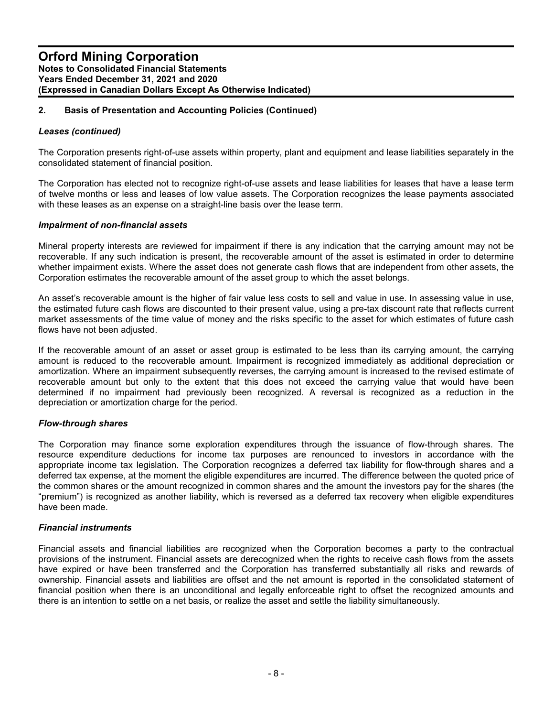#### *Leases (continued)*

The Corporation presents right-of-use assets within property, plant and equipment and lease liabilities separately in the consolidated statement of financial position.

The Corporation has elected not to recognize right-of-use assets and lease liabilities for leases that have a lease term of twelve months or less and leases of low value assets. The Corporation recognizes the lease payments associated with these leases as an expense on a straight-line basis over the lease term.

#### *Impairment of non-financial assets*

Mineral property interests are reviewed for impairment if there is any indication that the carrying amount may not be recoverable. If any such indication is present, the recoverable amount of the asset is estimated in order to determine whether impairment exists. Where the asset does not generate cash flows that are independent from other assets, the Corporation estimates the recoverable amount of the asset group to which the asset belongs.

An asset's recoverable amount is the higher of fair value less costs to sell and value in use. In assessing value in use, the estimated future cash flows are discounted to their present value, using a pre-tax discount rate that reflects current market assessments of the time value of money and the risks specific to the asset for which estimates of future cash flows have not been adjusted.

If the recoverable amount of an asset or asset group is estimated to be less than its carrying amount, the carrying amount is reduced to the recoverable amount. Impairment is recognized immediately as additional depreciation or amortization. Where an impairment subsequently reverses, the carrying amount is increased to the revised estimate of recoverable amount but only to the extent that this does not exceed the carrying value that would have been determined if no impairment had previously been recognized. A reversal is recognized as a reduction in the depreciation or amortization charge for the period.

#### *Flow-through shares*

The Corporation may finance some exploration expenditures through the issuance of flow-through shares. The resource expenditure deductions for income tax purposes are renounced to investors in accordance with the appropriate income tax legislation. The Corporation recognizes a deferred tax liability for flow-through shares and a deferred tax expense, at the moment the eligible expenditures are incurred. The difference between the quoted price of the common shares or the amount recognized in common shares and the amount the investors pay for the shares (the "premium") is recognized as another liability, which is reversed as a deferred tax recovery when eligible expenditures have been made.

#### *Financial instruments*

Financial assets and financial liabilities are recognized when the Corporation becomes a party to the contractual provisions of the instrument. Financial assets are derecognized when the rights to receive cash flows from the assets have expired or have been transferred and the Corporation has transferred substantially all risks and rewards of ownership. Financial assets and liabilities are offset and the net amount is reported in the consolidated statement of financial position when there is an unconditional and legally enforceable right to offset the recognized amounts and there is an intention to settle on a net basis, or realize the asset and settle the liability simultaneously.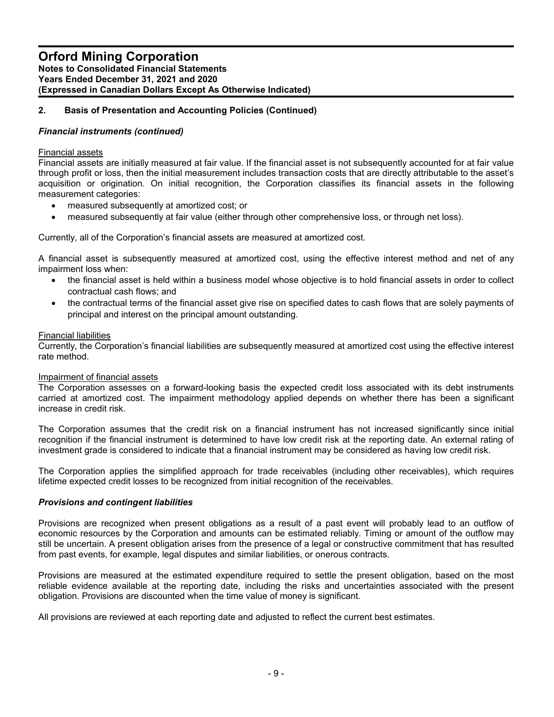#### *Financial instruments (continued)*

#### Financial assets

Financial assets are initially measured at fair value. If the financial asset is not subsequently accounted for at fair value through profit or loss, then the initial measurement includes transaction costs that are directly attributable to the asset's acquisition or origination. On initial recognition, the Corporation classifies its financial assets in the following measurement categories:

- measured subsequently at amortized cost; or
- measured subsequently at fair value (either through other comprehensive loss, or through net loss).

Currently, all of the Corporation's financial assets are measured at amortized cost.

A financial asset is subsequently measured at amortized cost, using the effective interest method and net of any impairment loss when:

- the financial asset is held within a business model whose objective is to hold financial assets in order to collect contractual cash flows; and
- the contractual terms of the financial asset give rise on specified dates to cash flows that are solely payments of principal and interest on the principal amount outstanding.

#### Financial liabilities

Currently, the Corporation's financial liabilities are subsequently measured at amortized cost using the effective interest rate method.

#### Impairment of financial assets

The Corporation assesses on a forward-looking basis the expected credit loss associated with its debt instruments carried at amortized cost. The impairment methodology applied depends on whether there has been a significant increase in credit risk.

The Corporation assumes that the credit risk on a financial instrument has not increased significantly since initial recognition if the financial instrument is determined to have low credit risk at the reporting date. An external rating of investment grade is considered to indicate that a financial instrument may be considered as having low credit risk.

The Corporation applies the simplified approach for trade receivables (including other receivables), which requires lifetime expected credit losses to be recognized from initial recognition of the receivables.

#### *Provisions and contingent liabilities*

Provisions are recognized when present obligations as a result of a past event will probably lead to an outflow of economic resources by the Corporation and amounts can be estimated reliably. Timing or amount of the outflow may still be uncertain. A present obligation arises from the presence of a legal or constructive commitment that has resulted from past events, for example, legal disputes and similar liabilities, or onerous contracts.

Provisions are measured at the estimated expenditure required to settle the present obligation, based on the most reliable evidence available at the reporting date, including the risks and uncertainties associated with the present obligation. Provisions are discounted when the time value of money is significant.

All provisions are reviewed at each reporting date and adjusted to reflect the current best estimates.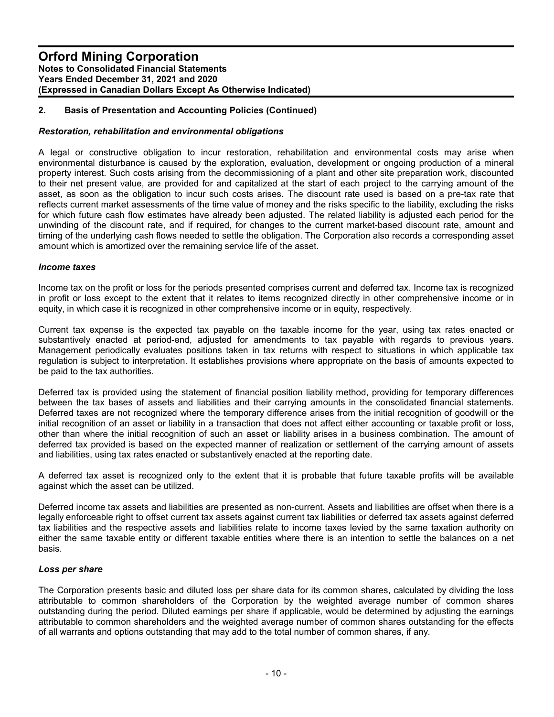#### *Restoration, rehabilitation and environmental obligations*

A legal or constructive obligation to incur restoration, rehabilitation and environmental costs may arise when environmental disturbance is caused by the exploration, evaluation, development or ongoing production of a mineral property interest. Such costs arising from the decommissioning of a plant and other site preparation work, discounted to their net present value, are provided for and capitalized at the start of each project to the carrying amount of the asset, as soon as the obligation to incur such costs arises. The discount rate used is based on a pre-tax rate that reflects current market assessments of the time value of money and the risks specific to the liability, excluding the risks for which future cash flow estimates have already been adjusted. The related liability is adjusted each period for the unwinding of the discount rate, and if required, for changes to the current market-based discount rate, amount and timing of the underlying cash flows needed to settle the obligation. The Corporation also records a corresponding asset amount which is amortized over the remaining service life of the asset.

#### *Income taxes*

Income tax on the profit or loss for the periods presented comprises current and deferred tax. Income tax is recognized in profit or loss except to the extent that it relates to items recognized directly in other comprehensive income or in equity, in which case it is recognized in other comprehensive income or in equity, respectively.

Current tax expense is the expected tax payable on the taxable income for the year, using tax rates enacted or substantively enacted at period-end, adjusted for amendments to tax payable with regards to previous years. Management periodically evaluates positions taken in tax returns with respect to situations in which applicable tax regulation is subject to interpretation. It establishes provisions where appropriate on the basis of amounts expected to be paid to the tax authorities.

Deferred tax is provided using the statement of financial position liability method, providing for temporary differences between the tax bases of assets and liabilities and their carrying amounts in the consolidated financial statements. Deferred taxes are not recognized where the temporary difference arises from the initial recognition of goodwill or the initial recognition of an asset or liability in a transaction that does not affect either accounting or taxable profit or loss, other than where the initial recognition of such an asset or liability arises in a business combination. The amount of deferred tax provided is based on the expected manner of realization or settlement of the carrying amount of assets and liabilities, using tax rates enacted or substantively enacted at the reporting date.

A deferred tax asset is recognized only to the extent that it is probable that future taxable profits will be available against which the asset can be utilized.

Deferred income tax assets and liabilities are presented as non-current. Assets and liabilities are offset when there is a legally enforceable right to offset current tax assets against current tax liabilities or deferred tax assets against deferred tax liabilities and the respective assets and liabilities relate to income taxes levied by the same taxation authority on either the same taxable entity or different taxable entities where there is an intention to settle the balances on a net basis.

#### *Loss per share*

The Corporation presents basic and diluted loss per share data for its common shares, calculated by dividing the loss attributable to common shareholders of the Corporation by the weighted average number of common shares outstanding during the period. Diluted earnings per share if applicable, would be determined by adjusting the earnings attributable to common shareholders and the weighted average number of common shares outstanding for the effects of all warrants and options outstanding that may add to the total number of common shares, if any.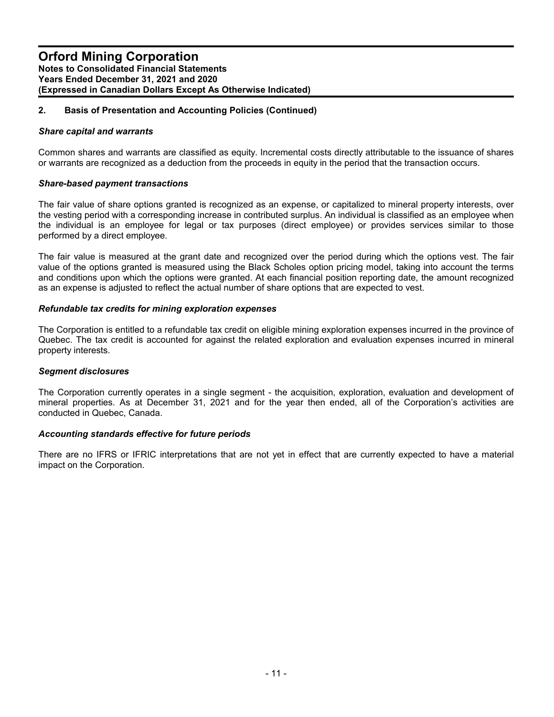#### *Share capital and warrants*

Common shares and warrants are classified as equity. Incremental costs directly attributable to the issuance of shares or warrants are recognized as a deduction from the proceeds in equity in the period that the transaction occurs.

#### *Share-based payment transactions*

The fair value of share options granted is recognized as an expense, or capitalized to mineral property interests, over the vesting period with a corresponding increase in contributed surplus. An individual is classified as an employee when the individual is an employee for legal or tax purposes (direct employee) or provides services similar to those performed by a direct employee.

The fair value is measured at the grant date and recognized over the period during which the options vest. The fair value of the options granted is measured using the Black Scholes option pricing model, taking into account the terms and conditions upon which the options were granted. At each financial position reporting date, the amount recognized as an expense is adjusted to reflect the actual number of share options that are expected to vest.

#### *Refundable tax credits for mining exploration expenses*

The Corporation is entitled to a refundable tax credit on eligible mining exploration expenses incurred in the province of Quebec. The tax credit is accounted for against the related exploration and evaluation expenses incurred in mineral property interests.

#### *Segment disclosures*

The Corporation currently operates in a single segment - the acquisition, exploration, evaluation and development of mineral properties. As at December 31, 2021 and for the year then ended, all of the Corporation's activities are conducted in Quebec, Canada.

#### *Accounting standards effective for future periods*

There are no IFRS or IFRIC interpretations that are not yet in effect that are currently expected to have a material impact on the Corporation.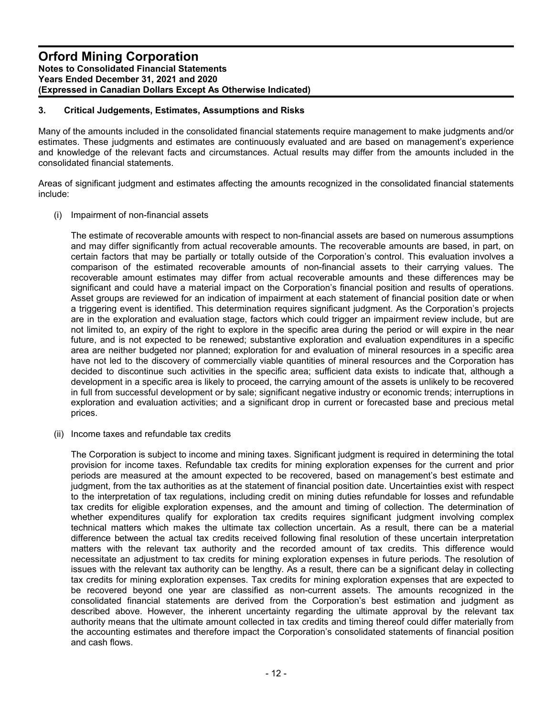# **3. Critical Judgements, Estimates, Assumptions and Risks**

Many of the amounts included in the consolidated financial statements require management to make judgments and/or estimates. These judgments and estimates are continuously evaluated and are based on management's experience and knowledge of the relevant facts and circumstances. Actual results may differ from the amounts included in the consolidated financial statements.

Areas of significant judgment and estimates affecting the amounts recognized in the consolidated financial statements include:

(i) Impairment of non-financial assets

The estimate of recoverable amounts with respect to non-financial assets are based on numerous assumptions and may differ significantly from actual recoverable amounts. The recoverable amounts are based, in part, on certain factors that may be partially or totally outside of the Corporation's control. This evaluation involves a comparison of the estimated recoverable amounts of non-financial assets to their carrying values. The recoverable amount estimates may differ from actual recoverable amounts and these differences may be significant and could have a material impact on the Corporation's financial position and results of operations. Asset groups are reviewed for an indication of impairment at each statement of financial position date or when a triggering event is identified. This determination requires significant judgment. As the Corporation's projects are in the exploration and evaluation stage, factors which could trigger an impairment review include, but are not limited to, an expiry of the right to explore in the specific area during the period or will expire in the near future, and is not expected to be renewed; substantive exploration and evaluation expenditures in a specific area are neither budgeted nor planned; exploration for and evaluation of mineral resources in a specific area have not led to the discovery of commercially viable quantities of mineral resources and the Corporation has decided to discontinue such activities in the specific area; sufficient data exists to indicate that, although a development in a specific area is likely to proceed, the carrying amount of the assets is unlikely to be recovered in full from successful development or by sale; significant negative industry or economic trends; interruptions in exploration and evaluation activities; and a significant drop in current or forecasted base and precious metal prices.

(ii) Income taxes and refundable tax credits

The Corporation is subject to income and mining taxes. Significant judgment is required in determining the total provision for income taxes. Refundable tax credits for mining exploration expenses for the current and prior periods are measured at the amount expected to be recovered, based on management's best estimate and judgment, from the tax authorities as at the statement of financial position date. Uncertainties exist with respect to the interpretation of tax regulations, including credit on mining duties refundable for losses and refundable tax credits for eligible exploration expenses, and the amount and timing of collection. The determination of whether expenditures qualify for exploration tax credits requires significant judgment involving complex technical matters which makes the ultimate tax collection uncertain. As a result, there can be a material difference between the actual tax credits received following final resolution of these uncertain interpretation matters with the relevant tax authority and the recorded amount of tax credits. This difference would necessitate an adjustment to tax credits for mining exploration expenses in future periods. The resolution of issues with the relevant tax authority can be lengthy. As a result, there can be a significant delay in collecting tax credits for mining exploration expenses. Tax credits for mining exploration expenses that are expected to be recovered beyond one year are classified as non-current assets. The amounts recognized in the consolidated financial statements are derived from the Corporation's best estimation and judgment as described above. However, the inherent uncertainty regarding the ultimate approval by the relevant tax authority means that the ultimate amount collected in tax credits and timing thereof could differ materially from the accounting estimates and therefore impact the Corporation's consolidated statements of financial position and cash flows.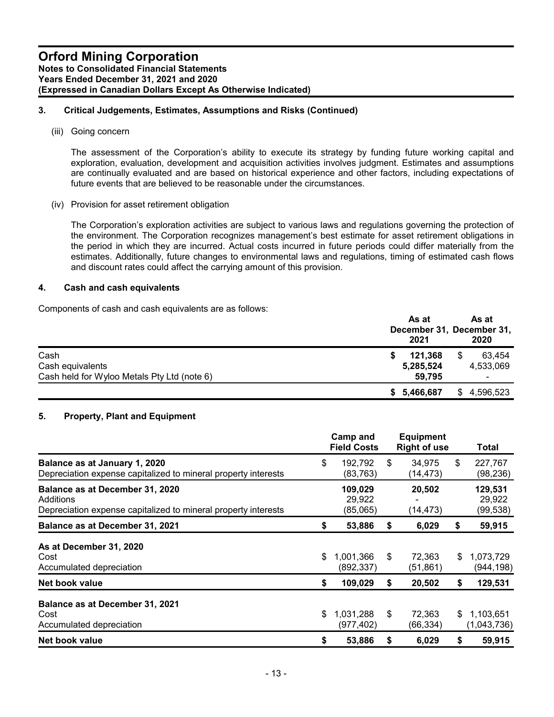# **3. Critical Judgements, Estimates, Assumptions and Risks (Continued)**

(iii) Going concern

The assessment of the Corporation's ability to execute its strategy by funding future working capital and exploration, evaluation, development and acquisition activities involves judgment. Estimates and assumptions are continually evaluated and are based on historical experience and other factors, including expectations of future events that are believed to be reasonable under the circumstances.

(iv) Provision for asset retirement obligation

The Corporation's exploration activities are subject to various laws and regulations governing the protection of the environment. The Corporation recognizes management's best estimate for asset retirement obligations in the period in which they are incurred. Actual costs incurred in future periods could differ materially from the estimates. Additionally, future changes to environmental laws and regulations, timing of estimated cash flows and discount rates could affect the carrying amount of this provision.

#### **4. Cash and cash equivalents**

Components of cash and cash equivalents are as follows:

|                                                                         | As at<br>December 31, December 31,<br>2021 | As at<br>2020                               |
|-------------------------------------------------------------------------|--------------------------------------------|---------------------------------------------|
| Cash<br>Cash equivalents<br>Cash held for Wyloo Metals Pty Ltd (note 6) | 121.368<br>5,285,524<br>59.795             | \$<br>63.454<br>4,533,069<br>$\blacksquare$ |
|                                                                         | \$5,466,687                                | \$4,596,523                                 |

# **5. Property, Plant and Equipment**

|                                                                                                                | Camp and<br><b>Field Costs</b> |    | <b>Equipment</b><br><b>Right of use</b> | <b>Total</b>                   |
|----------------------------------------------------------------------------------------------------------------|--------------------------------|----|-----------------------------------------|--------------------------------|
| Balance as at January 1, 2020<br>Depreciation expense capitalized to mineral property interests                | \$<br>192,792<br>(83,763)      | \$ | 34,975<br>(14, 473)                     | \$<br>227,767<br>(98, 236)     |
| Balance as at December 31, 2020<br>Additions<br>Depreciation expense capitalized to mineral property interests | 109,029<br>29.922<br>(85,065)  |    | 20,502<br>(14,473)                      | 129,531<br>29,922<br>(99, 538) |
| Balance as at December 31, 2021                                                                                | \$<br>53,886                   | S  | 6,029                                   | \$<br>59,915                   |
| As at December 31, 2020<br>Cost<br>Accumulated depreciation                                                    | \$<br>1,001,366<br>(892, 337)  | \$ | 72.363<br>(51, 861)                     | \$<br>1,073,729<br>(944, 198)  |
| Net book value                                                                                                 | \$<br>109,029                  | S  | 20,502                                  | \$<br>129,531                  |
| Balance as at December 31, 2021<br>Cost<br>Accumulated depreciation                                            | \$<br>1,031,288<br>(977,402)   | \$ | 72,363<br>(66,334)                      | \$<br>1,103,651<br>(1,043,736) |
| Net book value                                                                                                 | \$<br>53,886                   | \$ | 6,029                                   | \$<br>59,915                   |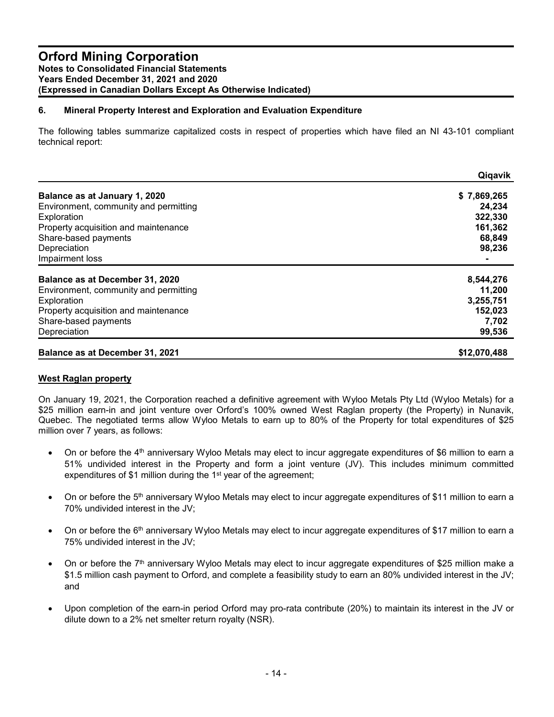# **6. Mineral Property Interest and Exploration and Evaluation Expenditure**

The following tables summarize capitalized costs in respect of properties which have filed an NI 43-101 compliant technical report:

|                                        | Qiqavik      |
|----------------------------------------|--------------|
| Balance as at January 1, 2020          | \$7,869,265  |
| Environment, community and permitting  | 24.234       |
| Exploration                            | 322,330      |
| Property acquisition and maintenance   | 161,362      |
| Share-based payments                   | 68,849       |
| Depreciation                           | 98,236       |
| Impairment loss                        |              |
| Balance as at December 31, 2020        | 8,544,276    |
| Environment, community and permitting  | 11,200       |
| Exploration                            | 3,255,751    |
| Property acquisition and maintenance   | 152,023      |
| Share-based payments                   | 7,702        |
| Depreciation                           | 99,536       |
| <b>Balance as at December 31, 2021</b> | \$12,070,488 |

#### **West Raglan property**

On January 19, 2021, the Corporation reached a definitive agreement with Wyloo Metals Pty Ltd (Wyloo Metals) for a \$25 million earn-in and joint venture over Orford's 100% owned West Raglan property (the Property) in Nunavik, Quebec. The negotiated terms allow Wyloo Metals to earn up to 80% of the Property for total expenditures of \$25 million over 7 years, as follows:

- $\bullet$  On or before the 4<sup>th</sup> anniversary Wyloo Metals may elect to incur aggregate expenditures of \$6 million to earn a 51% undivided interest in the Property and form a joint venture (JV). This includes minimum committed expenditures of \$1 million during the 1<sup>st</sup> year of the agreement;
- $\bullet$  On or before the 5<sup>th</sup> anniversary Wyloo Metals may elect to incur aggregate expenditures of \$11 million to earn a 70% undivided interest in the JV;
- $\bullet$  On or before the 6<sup>th</sup> anniversary Wyloo Metals may elect to incur aggregate expenditures of \$17 million to earn a 75% undivided interest in the JV;
- $\bullet$  On or before the 7<sup>th</sup> anniversary Wyloo Metals may elect to incur aggregate expenditures of \$25 million make a \$1.5 million cash payment to Orford, and complete a feasibility study to earn an 80% undivided interest in the JV; and
- Upon completion of the earn-in period Orford may pro-rata contribute (20%) to maintain its interest in the JV or dilute down to a 2% net smelter return royalty (NSR).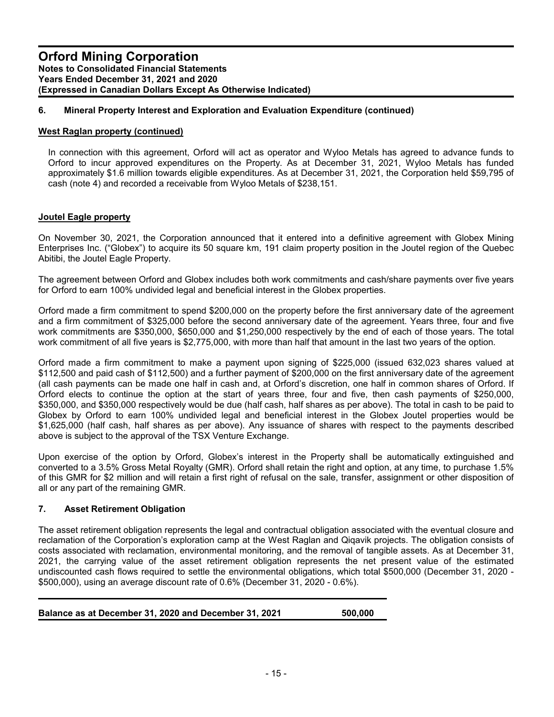# **6. Mineral Property Interest and Exploration and Evaluation Expenditure (continued)**

#### **West Raglan property (continued)**

In connection with this agreement, Orford will act as operator and Wyloo Metals has agreed to advance funds to Orford to incur approved expenditures on the Property. As at December 31, 2021, Wyloo Metals has funded approximately \$1.6 million towards eligible expenditures. As at December 31, 2021, the Corporation held \$59,795 of cash (note 4) and recorded a receivable from Wyloo Metals of \$238,151.

#### **Joutel Eagle property**

On November 30, 2021, the Corporation announced that it entered into a definitive agreement with Globex Mining Enterprises Inc. ("Globex") to acquire its 50 square km, 191 claim property position in the Joutel region of the Quebec Abitibi, the Joutel Eagle Property.

The agreement between Orford and Globex includes both work commitments and cash/share payments over five years for Orford to earn 100% undivided legal and beneficial interest in the Globex properties.

Orford made a firm commitment to spend \$200,000 on the property before the first anniversary date of the agreement and a firm commitment of \$325,000 before the second anniversary date of the agreement. Years three, four and five work commitments are \$350,000, \$650,000 and \$1,250,000 respectively by the end of each of those years. The total work commitment of all five years is \$2,775,000, with more than half that amount in the last two years of the option.

Orford made a firm commitment to make a payment upon signing of \$225,000 (issued 632,023 shares valued at \$112,500 and paid cash of \$112,500) and a further payment of \$200,000 on the first anniversary date of the agreement (all cash payments can be made one half in cash and, at Orford's discretion, one half in common shares of Orford. If Orford elects to continue the option at the start of years three, four and five, then cash payments of \$250,000, \$350,000, and \$350,000 respectively would be due (half cash, half shares as per above). The total in cash to be paid to Globex by Orford to earn 100% undivided legal and beneficial interest in the Globex Joutel properties would be \$1,625,000 (half cash, half shares as per above). Any issuance of shares with respect to the payments described above is subject to the approval of the TSX Venture Exchange.

Upon exercise of the option by Orford, Globex's interest in the Property shall be automatically extinguished and converted to a 3.5% Gross Metal Royalty (GMR). Orford shall retain the right and option, at any time, to purchase 1.5% of this GMR for \$2 million and will retain a first right of refusal on the sale, transfer, assignment or other disposition of all or any part of the remaining GMR.

#### **7. Asset Retirement Obligation**

The asset retirement obligation represents the legal and contractual obligation associated with the eventual closure and reclamation of the Corporation's exploration camp at the West Raglan and Qiqavik projects. The obligation consists of costs associated with reclamation, environmental monitoring, and the removal of tangible assets. As at December 31, 2021, the carrying value of the asset retirement obligation represents the net present value of the estimated undiscounted cash flows required to settle the environmental obligations, which total \$500,000 (December 31, 2020 - \$500,000), using an average discount rate of 0.6% (December 31, 2020 - 0.6%).

**Balance as at December 31, 2020 and December 31, 2021 500,000**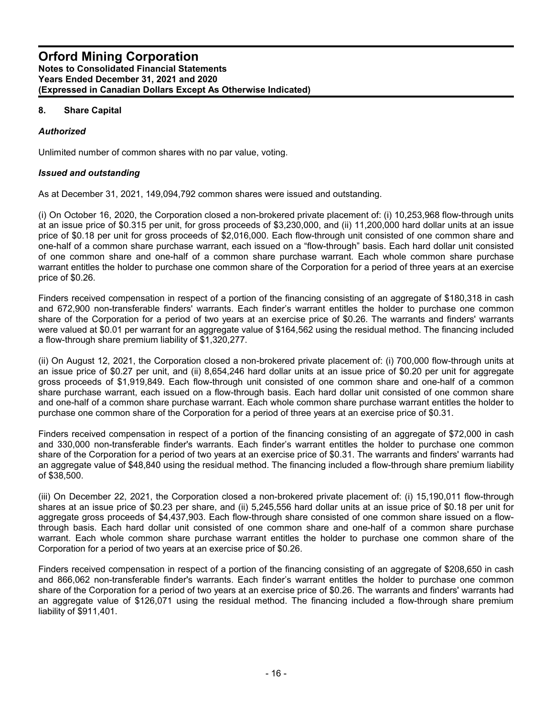# **8. Share Capital**

# *Authorized*

Unlimited number of common shares with no par value, voting.

#### *Issued and outstanding*

As at December 31, 2021, 149,094,792 common shares were issued and outstanding.

(i) On October 16, 2020, the Corporation closed a non-brokered private placement of: (i) 10,253,968 flow-through units at an issue price of \$0.315 per unit, for gross proceeds of \$3,230,000, and (ii) 11,200,000 hard dollar units at an issue price of \$0.18 per unit for gross proceeds of \$2,016,000. Each flow-through unit consisted of one common share and one-half of a common share purchase warrant, each issued on a "flow-through" basis. Each hard dollar unit consisted of one common share and one-half of a common share purchase warrant. Each whole common share purchase warrant entitles the holder to purchase one common share of the Corporation for a period of three years at an exercise price of \$0.26.

Finders received compensation in respect of a portion of the financing consisting of an aggregate of \$180,318 in cash and 672,900 non-transferable finders' warrants. Each finder's warrant entitles the holder to purchase one common share of the Corporation for a period of two years at an exercise price of \$0.26. The warrants and finders' warrants were valued at \$0.01 per warrant for an aggregate value of \$164,562 using the residual method. The financing included a flow-through share premium liability of \$1,320,277.

(ii) On August 12, 2021, the Corporation closed a non-brokered private placement of: (i) 700,000 flow-through units at an issue price of \$0.27 per unit, and (ii) 8,654,246 hard dollar units at an issue price of \$0.20 per unit for aggregate gross proceeds of \$1,919,849. Each flow-through unit consisted of one common share and one-half of a common share purchase warrant, each issued on a flow-through basis. Each hard dollar unit consisted of one common share and one-half of a common share purchase warrant. Each whole common share purchase warrant entitles the holder to purchase one common share of the Corporation for a period of three years at an exercise price of \$0.31.

Finders received compensation in respect of a portion of the financing consisting of an aggregate of \$72,000 in cash and 330,000 non-transferable finder's warrants. Each finder's warrant entitles the holder to purchase one common share of the Corporation for a period of two years at an exercise price of \$0.31. The warrants and finders' warrants had an aggregate value of \$48,840 using the residual method. The financing included a flow-through share premium liability of \$38,500.

(iii) On December 22, 2021, the Corporation closed a non-brokered private placement of: (i) 15,190,011 flow-through shares at an issue price of \$0.23 per share, and (ii) 5,245,556 hard dollar units at an issue price of \$0.18 per unit for aggregate gross proceeds of \$4,437,903. Each flow-through share consisted of one common share issued on a flowthrough basis. Each hard dollar unit consisted of one common share and one-half of a common share purchase warrant. Each whole common share purchase warrant entitles the holder to purchase one common share of the Corporation for a period of two years at an exercise price of \$0.26.

Finders received compensation in respect of a portion of the financing consisting of an aggregate of \$208,650 in cash and 866,062 non-transferable finder's warrants. Each finder's warrant entitles the holder to purchase one common share of the Corporation for a period of two years at an exercise price of \$0.26. The warrants and finders' warrants had an aggregate value of \$126,071 using the residual method. The financing included a flow-through share premium liability of \$911,401.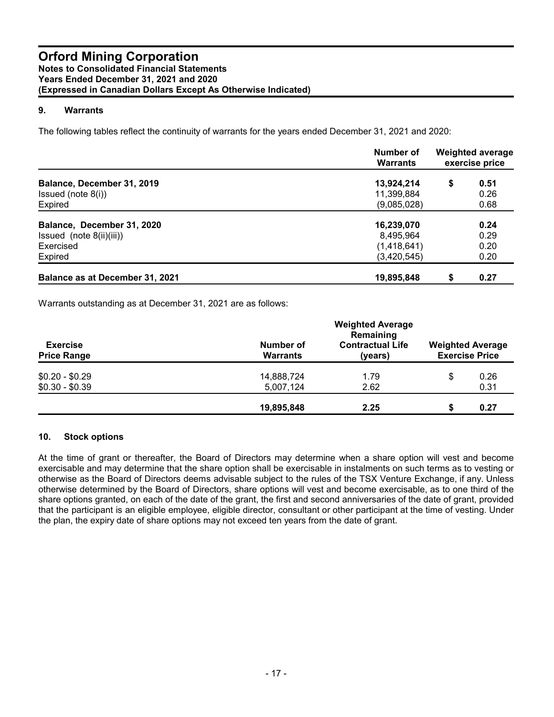# **9. Warrants**

The following tables reflect the continuity of warrants for the years ended December 31, 2021 and 2020:

|                                        | Number of<br><b>Warrants</b> | <b>Weighted average</b><br>exercise price |      |  |
|----------------------------------------|------------------------------|-------------------------------------------|------|--|
| Balance, December 31, 2019             | 13,924,214                   | \$                                        | 0.51 |  |
| Issued (note $8(i)$ )                  | 11,399,884                   |                                           | 0.26 |  |
| Expired                                | (9,085,028)                  |                                           | 0.68 |  |
| Balance, December 31, 2020             | 16,239,070                   |                                           | 0.24 |  |
| Issued (note 8(ii)(iii))               | 8,495,964                    |                                           | 0.29 |  |
| Exercised                              | (1,418,641)                  |                                           | 0.20 |  |
| Expired                                | (3,420,545)                  |                                           | 0.20 |  |
| <b>Balance as at December 31, 2021</b> | 19,895,848                   | \$                                        | 0.27 |  |

Warrants outstanding as at December 31, 2021 are as follows:

|                                       | <b>Weighted Average</b><br>Remaining |                                    |                                                  |      |  |  |
|---------------------------------------|--------------------------------------|------------------------------------|--------------------------------------------------|------|--|--|
| <b>Exercise</b><br><b>Price Range</b> | Number of<br><b>Warrants</b>         | <b>Contractual Life</b><br>(years) | <b>Weighted Average</b><br><b>Exercise Price</b> |      |  |  |
| $$0.20 - $0.29$                       | 14,888,724                           | 1.79                               | S                                                | 0.26 |  |  |
| $$0.30 - $0.39$                       | 5,007,124                            | 2.62                               |                                                  | 0.31 |  |  |
|                                       | 19,895,848                           | 2.25                               | æ                                                | 0.27 |  |  |

#### **10. Stock options**

At the time of grant or thereafter, the Board of Directors may determine when a share option will vest and become exercisable and may determine that the share option shall be exercisable in instalments on such terms as to vesting or otherwise as the Board of Directors deems advisable subject to the rules of the TSX Venture Exchange, if any. Unless otherwise determined by the Board of Directors, share options will vest and become exercisable, as to one third of the share options granted, on each of the date of the grant, the first and second anniversaries of the date of grant, provided that the participant is an eligible employee, eligible director, consultant or other participant at the time of vesting. Under the plan, the expiry date of share options may not exceed ten years from the date of grant.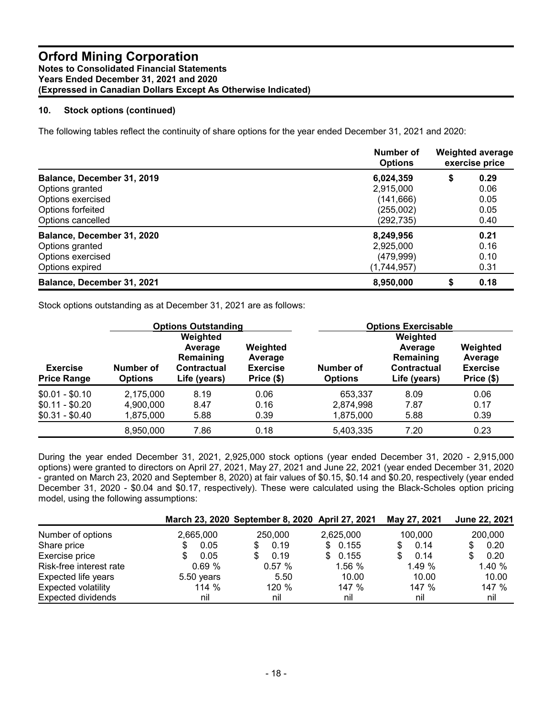# **10. Stock options (continued)**

The following tables reflect the continuity of share options for the year ended December 31, 2021 and 2020:

|                                | <b>Number of</b><br><b>Options</b> | <b>Weighted average</b><br>exercise price |      |
|--------------------------------|------------------------------------|-------------------------------------------|------|
| Balance, December 31, 2019     | 6,024,359                          | \$                                        | 0.29 |
| Options granted                | 2,915,000                          |                                           | 0.06 |
| Options exercised              | (141, 666)                         |                                           | 0.05 |
| Options forfeited              | (255,002)                          |                                           | 0.05 |
| Options cancelled              | (292, 735)                         |                                           | 0.40 |
| Balance, December 31, 2020     | 8,249,956                          |                                           | 0.21 |
| Options granted                | 2,925,000                          |                                           | 0.16 |
| Options exercised              | (479, 999)                         |                                           | 0.10 |
| Options expired<br>(1,744,957) |                                    |                                           | 0.31 |
| Balance, December 31, 2021     | 8,950,000                          |                                           | 0.18 |

Stock options outstanding as at December 31, 2021 are as follows:

|                                       | <b>Options Outstanding</b>  |                                                                 |                                                      | <b>Options Exercisable</b>  |                                                                        |                                                      |  |  |
|---------------------------------------|-----------------------------|-----------------------------------------------------------------|------------------------------------------------------|-----------------------------|------------------------------------------------------------------------|------------------------------------------------------|--|--|
| <b>Exercise</b><br><b>Price Range</b> | Number of<br><b>Options</b> | Weighted<br>Average<br>Remaining<br>Contractual<br>Life (years) | Weighted<br>Average<br><b>Exercise</b><br>Price (\$) | Number of<br><b>Options</b> | Weighted<br>Average<br>Remaining<br><b>Contractual</b><br>Life (years) | Weighted<br>Average<br><b>Exercise</b><br>Price (\$) |  |  |
| $$0.01 - $0.10$                       | 2,175,000                   | 8.19                                                            | 0.06                                                 | 653.337                     | 8.09                                                                   | 0.06                                                 |  |  |
| $$0.11 - $0.20$                       | 4,900,000                   | 8.47                                                            | 0.16                                                 | 2.874.998                   | 7.87                                                                   | 0.17                                                 |  |  |
| $$0.31 - $0.40$                       | 1,875,000                   | 5.88                                                            | 0.39                                                 | 1,875,000                   | 5.88                                                                   | 0.39                                                 |  |  |
|                                       | 8,950,000                   | 7.86                                                            | 0.18                                                 | 5,403,335                   | 7.20                                                                   | 0.23                                                 |  |  |

During the year ended December 31, 2021, 2,925,000 stock options (year ended December 31, 2020 - 2,915,000 options) were granted to directors on April 27, 2021, May 27, 2021 and June 22, 2021 (year ended December 31, 2020 - granted on March 23, 2020 and September 8, 2020) at fair values of \$0.15, \$0.14 and \$0.20, respectively (year ended December 31, 2020 - \$0.04 and \$0.17, respectively). These were calculated using the Black-Scholes option pricing model, using the following assumptions:

|                            |            | March 23, 2020 September 8, 2020 April 27, 2021 |              | May 27, 2021 | June 22, 2021 |
|----------------------------|------------|-------------------------------------------------|--------------|--------------|---------------|
| Number of options          | 2,665,000  | 250,000                                         | 2,625,000    | 100,000      | 200,000       |
| Share price                | 0.05       | 0.19<br>\$.                                     | \$0.155      | 0.14         | 0.20<br>S     |
| Exercise price             | 0.05       | 0.19                                            | 0.155<br>\$. | 0.14         | 0.20<br>S     |
| Risk-free interest rate    | 0.69%      | 0.57%                                           | 1.56 %       | 1.49 %       | 1.40 %        |
| Expected life years        | 5.50 years | 5.50                                            | 10.00        | 10.00        | 10.00         |
| <b>Expected volatility</b> | 114 %      | 120 %                                           | 147 %        | 147 %        | 147 %         |
| <b>Expected dividends</b>  | nil        | nil                                             | nil          | nil          | nil           |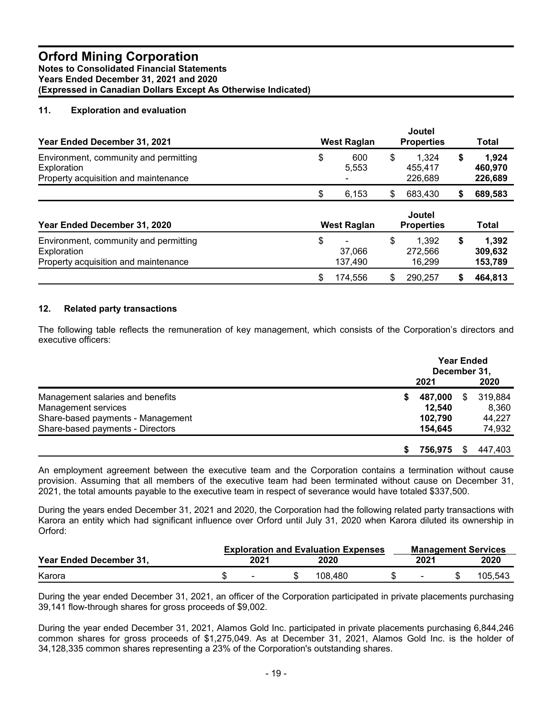# **11. Exploration and evaluation**

| Year Ended December 31, 2021                                                                 | <b>West Raglan</b>      | Joutel<br><b>Properties</b>       |    | <b>Total</b>                |  |
|----------------------------------------------------------------------------------------------|-------------------------|-----------------------------------|----|-----------------------------|--|
| Environment, community and permitting<br>Exploration<br>Property acquisition and maintenance | \$<br>600<br>5.553      | \$<br>1.324<br>455.417<br>226,689 | \$ | 1.924<br>460.970<br>226,689 |  |
|                                                                                              | \$<br>6,153             | \$<br>683,430                     | S  | 689,583                     |  |
| Year Ended December 31, 2020                                                                 | West Raglan             | Joutel<br><b>Properties</b>       |    | <b>Total</b>                |  |
| Environment, community and permitting<br>Exploration<br>Property acquisition and maintenance | \$<br>37,066<br>137,490 | \$<br>1.392<br>272.566<br>16,299  | \$ | 1.392<br>309,632<br>153,789 |  |
|                                                                                              | \$<br>174,556           | \$<br>290,257                     | S  | 464,813                     |  |

#### **12. Related party transactions**

The following table reflects the remuneration of key management, which consists of the Corporation's directors and executive officers:

|                                   |              | <b>Year Ended</b><br>December 31, |         |  |  |  |
|-----------------------------------|--------------|-----------------------------------|---------|--|--|--|
|                                   | 2021         |                                   | 2020    |  |  |  |
| Management salaries and benefits  | 487.000<br>S | S                                 | 319.884 |  |  |  |
| Management services               | 12.540       |                                   | 8.360   |  |  |  |
| Share-based payments - Management | 102.790      |                                   | 44,227  |  |  |  |
| Share-based payments - Directors  | 154.645      |                                   | 74,932  |  |  |  |
|                                   | 756.975<br>S | S.                                | 447.403 |  |  |  |

An employment agreement between the executive team and the Corporation contains a termination without cause provision. Assuming that all members of the executive team had been terminated without cause on December 31, 2021, the total amounts payable to the executive team in respect of severance would have totaled \$337,500.

During the years ended December 31, 2021 and 2020, the Corporation had the following related party transactions with Karora an entity which had significant influence over Orford until July 31, 2020 when Karora diluted its ownership in Orford:

|                         | <b>Exploration and Evaluation Expenses</b> |      |  |         |  | <b>Management Services</b> |  |         |  |
|-------------------------|--------------------------------------------|------|--|---------|--|----------------------------|--|---------|--|
| Year Ended December 31, |                                            | 2021 |  | 2020    |  | 2021                       |  | 2020    |  |
| Karora                  |                                            |      |  | 108.480 |  | $\overline{\phantom{0}}$   |  | 105.543 |  |

During the year ended December 31, 2021, an officer of the Corporation participated in private placements purchasing 39,141 flow-through shares for gross proceeds of \$9,002.

During the year ended December 31, 2021, Alamos Gold Inc. participated in private placements purchasing 6,844,246 common shares for gross proceeds of \$1,275,049. As at December 31, 2021, Alamos Gold Inc. is the holder of 34,128,335 common shares representing a 23% of the Corporation's outstanding shares.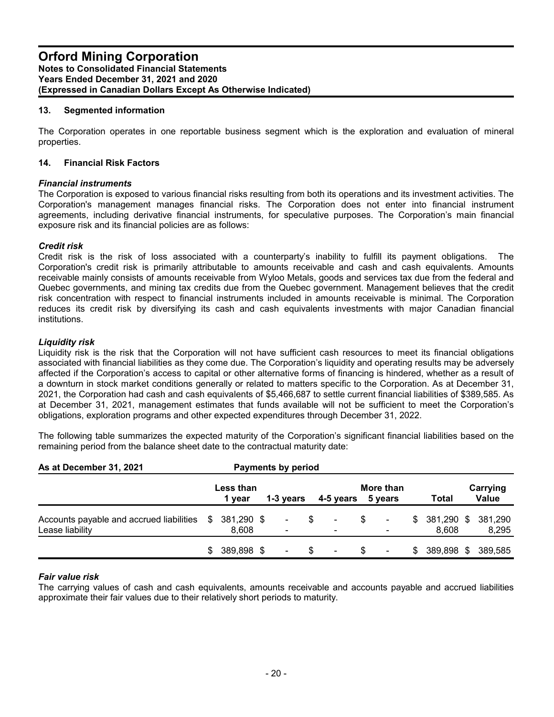# **13. Segmented information**

The Corporation operates in one reportable business segment which is the exploration and evaluation of mineral properties.

#### **14. Financial Risk Factors**

#### *Financial instruments*

The Corporation is exposed to various financial risks resulting from both its operations and its investment activities. The Corporation's management manages financial risks. The Corporation does not enter into financial instrument agreements, including derivative financial instruments, for speculative purposes. The Corporation's main financial exposure risk and its financial policies are as follows:

# *Credit risk*

Credit risk is the risk of loss associated with a counterparty's inability to fulfill its payment obligations. The Corporation's credit risk is primarily attributable to amounts receivable and cash and cash equivalents. Amounts receivable mainly consists of amounts receivable from Wyloo Metals, goods and services tax due from the federal and Quebec governments, and mining tax credits due from the Quebec government. Management believes that the credit risk concentration with respect to financial instruments included in amounts receivable is minimal. The Corporation reduces its credit risk by diversifying its cash and cash equivalents investments with major Canadian financial institutions.

# *Liquidity risk*

Liquidity risk is the risk that the Corporation will not have sufficient cash resources to meet its financial obligations associated with financial liabilities as they come due. The Corporation's liquidity and operating results may be adversely affected if the Corporation's access to capital or other alternative forms of financing is hindered, whether as a result of a downturn in stock market conditions generally or related to matters specific to the Corporation. As at December 31, 2021, the Corporation had cash and cash equivalents of \$5,466,687 to settle current financial liabilities of \$389,585. As at December 31, 2021, management estimates that funds available will not be sufficient to meet the Corporation's obligations, exploration programs and other expected expenditures through December 31, 2022.

The following table summarizes the expected maturity of the Corporation's significant financial liabilities based on the remaining period from the balance sheet date to the contractual maturity date:

| As at December 31, 2021                                     |    |                     | <b>Payments by period</b> |   |                                            |    |                          |     |                     |                   |
|-------------------------------------------------------------|----|---------------------|---------------------------|---|--------------------------------------------|----|--------------------------|-----|---------------------|-------------------|
|                                                             |    | Less than<br>1 year | 1-3 years                 |   | 4-5 years                                  |    | More than<br>5 years     |     | <b>Total</b>        | Carrying<br>Value |
| Accounts payable and accrued liabilities<br>Lease liability | S. | 381,290 \$<br>8,608 | $\sim$                    | S | $\blacksquare$<br>$\overline{\phantom{a}}$ | S. | ۰.<br>$\blacksquare$     | S.  | 381,290 \$<br>8.608 | 381.290<br>8,295  |
|                                                             | \$ | 389.898 \$          | $\sim$                    |   | $\overline{\phantom{a}}$                   | S. | $\overline{\phantom{a}}$ | \$. | 389,898 \$          | 389.585           |

#### *Fair value risk*

The carrying values of cash and cash equivalents, amounts receivable and accounts payable and accrued liabilities approximate their fair values due to their relatively short periods to maturity.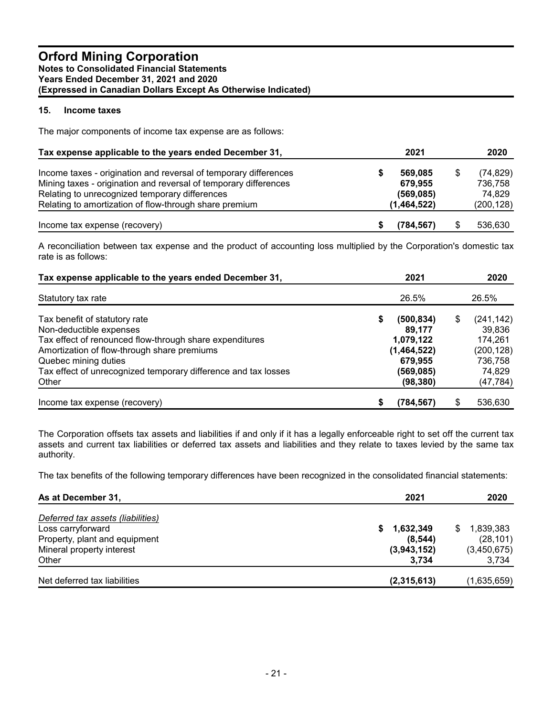# **15. Income taxes**

The major components of income tax expense are as follows:

| Tax expense applicable to the years ended December 31,           | 2021        | 2020            |
|------------------------------------------------------------------|-------------|-----------------|
| Income taxes - origination and reversal of temporary differences | 569.085     | \$<br>(74, 829) |
| Mining taxes - origination and reversal of temporary differences | 679,955     | 736.758         |
| Relating to unrecognized temporary differences                   | (569, 085)  | 74.829          |
| Relating to amortization of flow-through share premium           | (1,464,522) | (200, 128)      |
| Income tax expense (recovery)                                    | (784, 567)  | 536,630         |

A reconciliation between tax expense and the product of accounting loss multiplied by the Corporation's domestic tax rate is as follows:

| Tax expense applicable to the years ended December 31,                                                 |   | 2021                     |   | 2020                  |
|--------------------------------------------------------------------------------------------------------|---|--------------------------|---|-----------------------|
| Statutory tax rate                                                                                     |   | 26.5%                    |   | 26.5%                 |
| Tax benefit of statutory rate<br>Non-deductible expenses                                               | S | (500, 834)<br>89,177     | S | (241, 142)<br>39,836  |
| Tax effect of renounced flow-through share expenditures<br>Amortization of flow-through share premiums |   | 1,079,122<br>(1,464,522) |   | 174,261<br>(200, 128) |
| Quebec mining duties                                                                                   |   | 679,955                  |   | 736,758               |
| Tax effect of unrecognized temporary difference and tax losses<br>Other                                |   | (569, 085)<br>(98, 380)  |   | 74,829<br>(47, 784)   |
| Income tax expense (recovery)                                                                          |   | (784,567)                | S | 536,630               |

The Corporation offsets tax assets and liabilities if and only if it has a legally enforceable right to set off the current tax assets and current tax liabilities or deferred tax assets and liabilities and they relate to taxes levied by the same tax authority.

The tax benefits of the following temporary differences have been recognized in the consolidated financial statements:

| As at December 31,                | 2021            | 2020            |
|-----------------------------------|-----------------|-----------------|
| Deferred tax assets (liabilities) |                 |                 |
| Loss carryforward                 | 1,632,349<br>S. | 1,839,383<br>\$ |
| Property, plant and equipment     | (8, 544)        | (28, 101)       |
| Mineral property interest         | (3,943,152)     | (3,450,675)     |
| Other                             | 3.734           | 3,734           |
| Net deferred tax liabilities      | (2,315,613)     | (1,635,659)     |